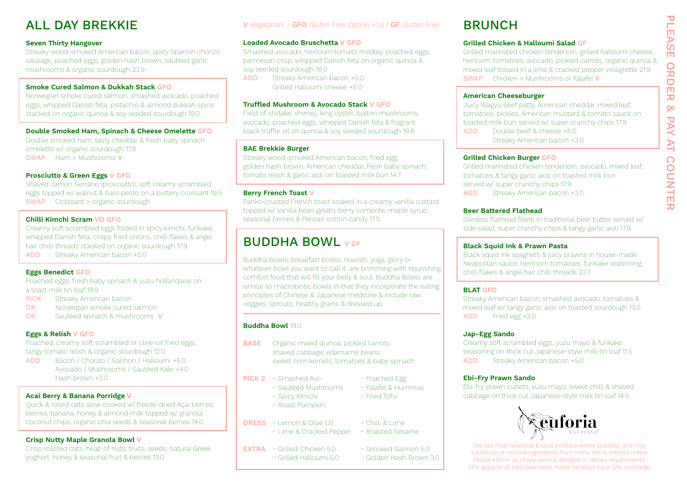# ALL DAY BREKKIE

#### **Seven Thirty Hangover**

Streaky wood-smoked American bacon, spicy Spanish chorizo sausage, poached eggs, golden hash brown, sautéed garlic mushrooms & organic sourdough 23.9

#### **Smoke Cured Salmon & Dukkah Stack** GFO

Norwegian smoke cured salmon, smashed avocado, poached eggs, whipped Danish feta, pistachio & almond dukkah spice stacked on organic quinoa & soy seeded sourdough 19.0

#### **Double Smoked Ham, Spinach & Cheese Omelette** GFO

Double smoked ham, tasty cheddar & fresh baby spinach omelette w/ organic sourdough 17.8 SWAP Ham > Mushrooms V

#### **Prosciutto & Green Eggs** V GFO

Shaved Jamon Serrano (prosciutto), soft creamy scrambled eggs topped w/ walnut & basil pesto on a buttery croissant 19.5 SWAP Croissant > organic sourdough

#### **Chilli Kimchi Scram** VO GFO

Creamy soft scrambled eggs folded in spicy kimchi, furikake, whipped Danish feta, crispy fried onions, chilli flakes & angel hair chilli threads stacked on organic sourdough 17.9 ADD Streaky American bacon +5.0

#### **Eggs Benedict** GFO

Poached eggs, fresh baby spinach & yuzu hollandaise on a toast milk tin loaf 18.9

- PICK Streaky American bacon
- OR Norwegian smoke cured salmon
- OR Sautéed spinach & mushrooms V

#### **Eggs & Relish** V GFO

Poached, creamy soft scrambled or olive-oil fried eggs, tangy tomato relish & organic sourdough 12.0

ADD Bacon / Chorizo / Salmon / Halloumi +5.0 Avocado / Mushrooms / Sautéed Kale +4.0 Hash brown +3.0

#### **Acai Berry & Banana Porridge V**

Quick & rolled oats slow cooked w/ freeze-dried Açai berries, berries, banana, honey & almond milk topped w/ granola, coconut chips, organic chia seeds & seasonal berries 14.0

#### **Crisp Nutty Maple Granola Bowl V**

Crisp roasted oats, heap of nuts, fruits, seeds, natural Greek yoghurt, honey & seasonal fruit & berries 13.0

### V Vegetarian / GFO Gluten Free Option +1.0 / GF Gluten Free BRUNCH

#### **Loaded Avocado Bruschetta** V GFO

Smashed avocado, heirloom tomato medley, poached eggs, parmesan crisp, whipped Danish feta on organic quinoa & soy seeded sourdough 18.0

ADD Streaky American bacon +5.0 Grilled Halloumi cheese +5.0

#### **Truffled Mushroom & Avocado Stack** V GFO

Field of shiitake, shimeji, king oyster, button mushrooms, avocado, poached eggs, whipped Danish feta & fragrant black truffle oil on quinoa & soy seeded sourdough 19.8

#### **BAE Brekkie Burger**

Streaky wood-smoked American bacon, fried egg, golden hash brown, American cheddar, fresh baby spinach, tomato relish & garlic aioli on toasted milk bun 14.7

#### **Berry French Toast** V

Panko-crusted French toast soaked in a creamy vanilla custard topped w/ vanilla bean gelato, berry compote, maple syrup, seasonal berries & Persian cotton candy 17.5

### BUDDHA BOWL V GF

Buddha bowls, breakfast bowls, nourish, yoga, glory or whatever bowl you want to call it; are brimming with nourishing comfort food that will fill your belly & soul. Buddha Bowls are similar to macrobiotic bowls in that they incorporate the eating principles of Chinese & Japanese medicine & include raw veggies, sprouts, healthy grains & dressed up.

#### **Buddha Bowl** 19.0

- **BASE** Organic mixed quinoa, pickled carrots, shaved cabbage, edamame beans, sweet corn kernels, tomatoes & baby spinach
- PICK 2 ~ Smashed Avo ~ Poached Egg
	- ~ Sautéed Mushrooms ~ Falafel & Hummus
	-
	- ~ Roast Pumpkin
- DRESS ~ Lemon & Olive Oil ~ Chilli & Lime
	- ~ Lime & Cracked Pepper ~ Roasted Sesame
- EXTRA ~ Grilled Chicken 5.0 ~ Smoked Salmon 5.0
- 

### **Grilled Chicken & Halloumi Salad** GF

Grilled marinated chicken tenderloin, grilled halloumi cheese, heirloom tomatoes, avocado, pickled carrots, organic quinoa & mixed leaf tossed in a lime & cracked pepper vinaigrette 21.9 SWAP Chicken > Mushrooms or Falafel V

### **American Cheeseburger**

Juicy Wagyu beef patty, American cheddar, mixed leaf, tomatoes, pickles, American mustard & tomato sauce on toasted milk bun served w/ super crunchy chips 17.9 ADD Double beef & cheese +6.0

Streaky American bacon +3.0

### **Grilled Chicken Burger** GFO

Grilled marinated chicken tenderloin, avocado, mixed leaf, tomatoes & tangy garlic aioli on toasted milk bun served w/ super crunchy chips 17.9 ADD Streaky American bacon +3.0

#### **Beer Battered Flathead**

Skinless flathead fillets in traditional beer batter served w/ side salad, super crunchy chips & tangy garlic aioli 17.8

#### **Black Squid Ink & Prawn Pasta**

Black squid ink spaghetti & juicy prawns in house-made Neapolitan sauce, heirloom tomatoes, furikake seasoning, chilli flakes & angel hair chilli threads 23.7

#### **BLAT** GFO

Streaky American bacon, smashed avocado, tomatoes & mixed leaf w/ tangy garlic aioli on toasted sourdough 13.0 ADD Fried egg +2.0

#### **Jap-Egg Sando**

Creamy soft scrambled eggs, yuzu mayo & furikake seasoning on thick cut Japanese-style milk tin loaf 11.5 ADD Streaky American bacon +5.0

#### **Ebi-Fry Prawn Sando**

Ebi-fry prawn cutlets, yuzu mayo, sweet chilli & shaved cabbage on thick cut Japanese-style milk tin loaf 14.5



We use fresh seasonal & local produce where possible, and may substitute or remove ingredients from menu items without notice. Please inform us of any serious allergies or dietary requirements. 1.5% apply to all card payments. Public Holidays incur 12% surcharge. Ō

- 
- 
- 
- 
- ~ Spicy Kimchi ~ Fried Tofu
	-
- 
- 
- 
- 

~ Grilled Halloumi 5.0 ~ Golden Hash Brown 3.0